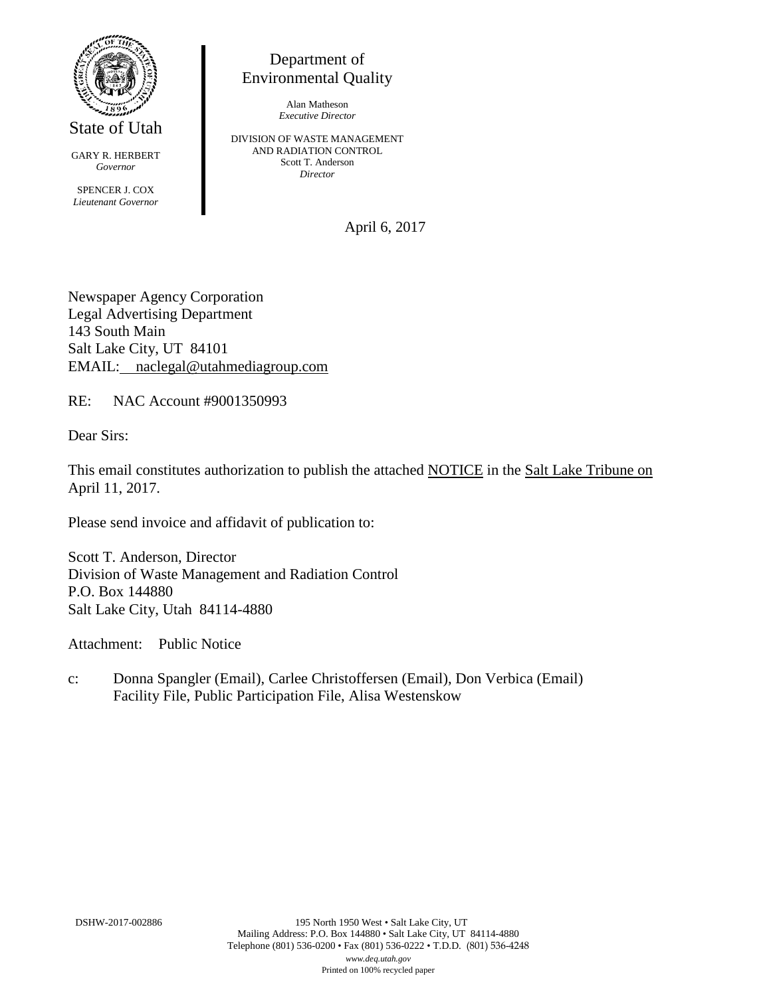

State of Utah

GARY R. HERBERT *Governor* SPENCER J. COX *Lieutenant Governor*

Department of Environmental Quality

> Alan Matheson *Executive Director*

DIVISION OF WASTE MANAGEMENT AND RADIATION CONTROL Scott T. Anderson *Director*

April 6, 2017

Newspaper Agency Corporation Legal Advertising Department 143 South Main Salt Lake City, UT 84101 EMAIL: naclegal@utahmediagroup.com

RE: NAC Account #9001350993

Dear Sirs:

This email constitutes authorization to publish the attached NOTICE in the Salt Lake Tribune on April 11, 2017.

Please send invoice and affidavit of publication to:

Scott T. Anderson, Director Division of Waste Management and Radiation Control P.O. Box 144880 Salt Lake City, Utah 84114-4880

Attachment: Public Notice

c: Donna Spangler (Email), Carlee Christoffersen (Email), Don Verbica (Email) Facility File, Public Participation File, Alisa Westenskow